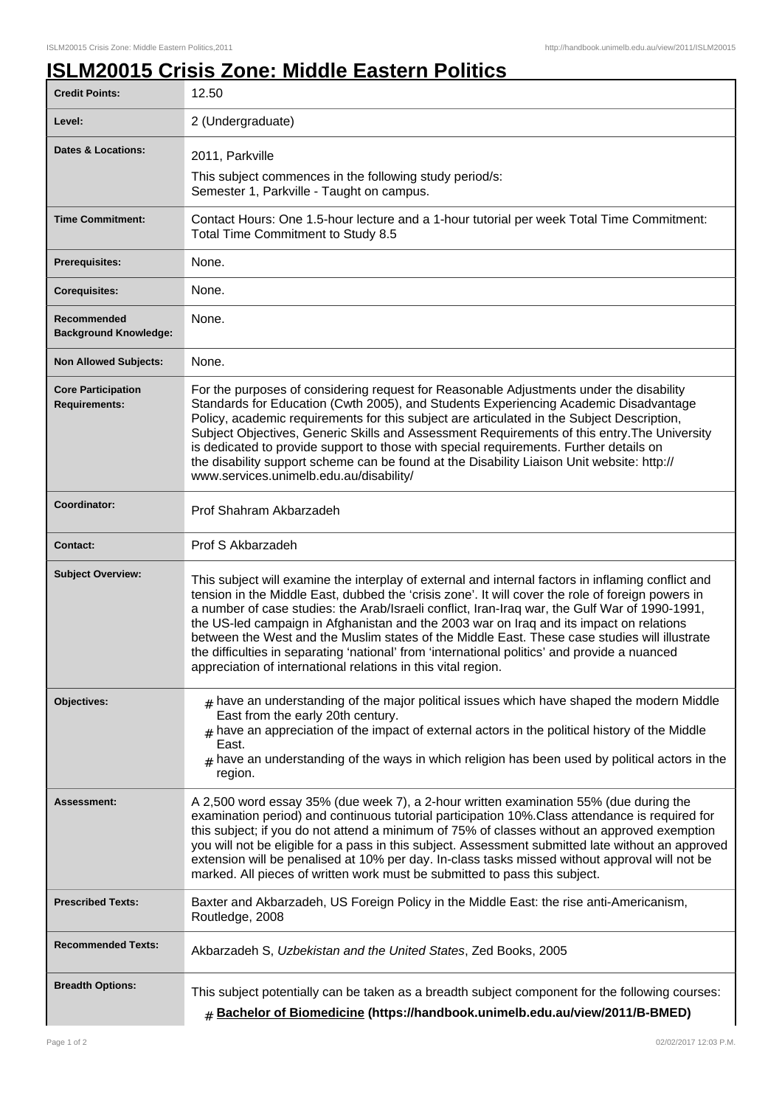٦

## **ISLM20015 Crisis Zone: Middle Eastern Politics**

| <b>Credit Points:</b>                             | 12.50                                                                                                                                                                                                                                                                                                                                                                                                                                                                                                                                                                                                                                                                   |
|---------------------------------------------------|-------------------------------------------------------------------------------------------------------------------------------------------------------------------------------------------------------------------------------------------------------------------------------------------------------------------------------------------------------------------------------------------------------------------------------------------------------------------------------------------------------------------------------------------------------------------------------------------------------------------------------------------------------------------------|
| Level:                                            | 2 (Undergraduate)                                                                                                                                                                                                                                                                                                                                                                                                                                                                                                                                                                                                                                                       |
| <b>Dates &amp; Locations:</b>                     | 2011, Parkville<br>This subject commences in the following study period/s:<br>Semester 1, Parkville - Taught on campus.                                                                                                                                                                                                                                                                                                                                                                                                                                                                                                                                                 |
| <b>Time Commitment:</b>                           | Contact Hours: One 1.5-hour lecture and a 1-hour tutorial per week Total Time Commitment:<br>Total Time Commitment to Study 8.5                                                                                                                                                                                                                                                                                                                                                                                                                                                                                                                                         |
| <b>Prerequisites:</b>                             | None.                                                                                                                                                                                                                                                                                                                                                                                                                                                                                                                                                                                                                                                                   |
| <b>Corequisites:</b>                              | None.                                                                                                                                                                                                                                                                                                                                                                                                                                                                                                                                                                                                                                                                   |
| Recommended<br><b>Background Knowledge:</b>       | None.                                                                                                                                                                                                                                                                                                                                                                                                                                                                                                                                                                                                                                                                   |
| <b>Non Allowed Subjects:</b>                      | None.                                                                                                                                                                                                                                                                                                                                                                                                                                                                                                                                                                                                                                                                   |
| <b>Core Participation</b><br><b>Requirements:</b> | For the purposes of considering request for Reasonable Adjustments under the disability<br>Standards for Education (Cwth 2005), and Students Experiencing Academic Disadvantage<br>Policy, academic requirements for this subject are articulated in the Subject Description,<br>Subject Objectives, Generic Skills and Assessment Requirements of this entry. The University<br>is dedicated to provide support to those with special requirements. Further details on<br>the disability support scheme can be found at the Disability Liaison Unit website: http://<br>www.services.unimelb.edu.au/disability/                                                        |
| Coordinator:                                      | Prof Shahram Akbarzadeh                                                                                                                                                                                                                                                                                                                                                                                                                                                                                                                                                                                                                                                 |
| <b>Contact:</b>                                   | Prof S Akbarzadeh                                                                                                                                                                                                                                                                                                                                                                                                                                                                                                                                                                                                                                                       |
| <b>Subject Overview:</b>                          | This subject will examine the interplay of external and internal factors in inflaming conflict and<br>tension in the Middle East, dubbed the 'crisis zone'. It will cover the role of foreign powers in<br>a number of case studies: the Arab/Israeli conflict, Iran-Iraq war, the Gulf War of 1990-1991,<br>the US-led campaign in Afghanistan and the 2003 war on Iraq and its impact on relations<br>between the West and the Muslim states of the Middle East. These case studies will illustrate<br>the difficulties in separating 'national' from 'international politics' and provide a nuanced<br>appreciation of international relations in this vital region. |
| Objectives:                                       | $#$ have an understanding of the major political issues which have shaped the modern Middle<br>East from the early 20th century.<br>$_{\rm H}$ have an appreciation of the impact of external actors in the political history of the Middle<br>East.<br>$_{\#}$ have an understanding of the ways in which religion has been used by political actors in the<br>region.                                                                                                                                                                                                                                                                                                 |
| Assessment:                                       | A 2,500 word essay 35% (due week 7), a 2-hour written examination 55% (due during the<br>examination period) and continuous tutorial participation 10%. Class attendance is required for<br>this subject; if you do not attend a minimum of 75% of classes without an approved exemption<br>you will not be eligible for a pass in this subject. Assessment submitted late without an approved<br>extension will be penalised at 10% per day. In-class tasks missed without approval will not be<br>marked. All pieces of written work must be submitted to pass this subject.                                                                                          |
| <b>Prescribed Texts:</b>                          | Baxter and Akbarzadeh, US Foreign Policy in the Middle East: the rise anti-Americanism,<br>Routledge, 2008                                                                                                                                                                                                                                                                                                                                                                                                                                                                                                                                                              |
| <b>Recommended Texts:</b>                         | Akbarzadeh S, Uzbekistan and the United States, Zed Books, 2005                                                                                                                                                                                                                                                                                                                                                                                                                                                                                                                                                                                                         |
| <b>Breadth Options:</b>                           | This subject potentially can be taken as a breadth subject component for the following courses:<br># Bachelor of Biomedicine (https://handbook.unimelb.edu.au/view/2011/B-BMED)                                                                                                                                                                                                                                                                                                                                                                                                                                                                                         |